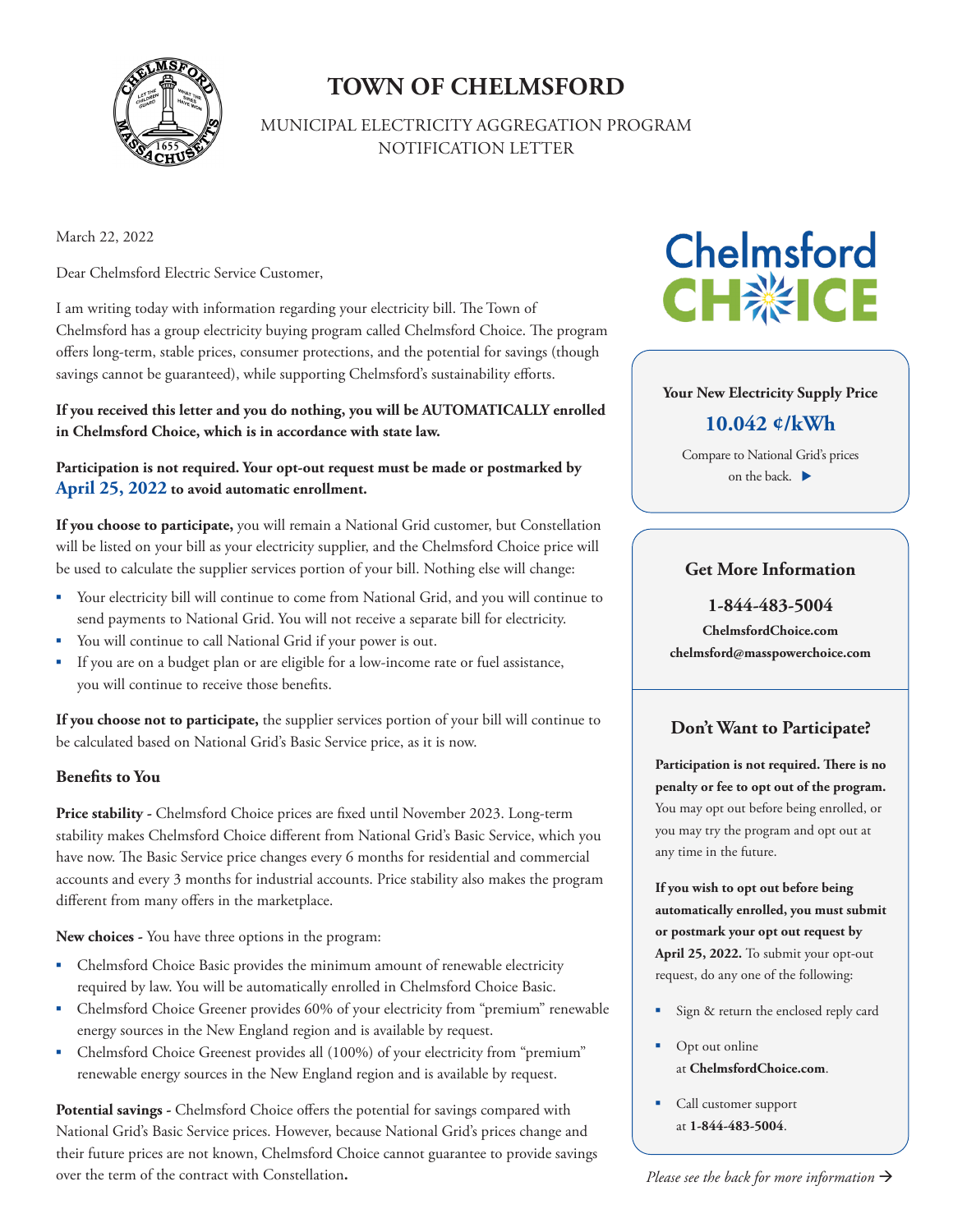

### **TOWN OF CHELMSFORD**

MUNICIPAL ELECTRICITY AGGREGATION PROGRAM NOTIFICATION LETTER

March 22, 2022

Dear Chelmsford Electric Service Customer,

I am writing today with information regarding your electricity bill. The Town of Chelmsford has a group electricity buying program called Chelmsford Choice. The program offers long-term, stable prices, consumer protections, and the potential for savings (though savings cannot be guaranteed), while supporting Chelmsford's sustainability efforts.

**If you received this letter and you do nothing, you will be AUTOMATICALLY enrolled in Chelmsford Choice, which is in accordance with state law.** 

**Participation is not required. Your opt-out request must be made or postmarked by April 25, 2022 to avoid automatic enrollment.** 

**If you choose to participate,** you will remain a National Grid customer, but Constellation will be listed on your bill as your electricity supplier, and the Chelmsford Choice price will be used to calculate the supplier services portion of your bill. Nothing else will change:

- Your electricity bill will continue to come from National Grid, and you will continue to send payments to National Grid. You will not receive a separate bill for electricity.
- You will continue to call National Grid if your power is out.
- If you are on a budget plan or are eligible for a low-income rate or fuel assistance, you will continue to receive those benefits.

**If you choose not to participate,** the supplier services portion of your bill will continue to be calculated based on National Grid's Basic Service price, as it is now.

#### **Benefits to You**

Price stability - Chelmsford Choice prices are fixed until November 2023. Long-term stability makes Chelmsford Choice different from National Grid's Basic Service, which you have now. The Basic Service price changes every 6 months for residential and commercial accounts and every 3 months for industrial accounts. Price stability also makes the program different from many offers in the marketplace.

**New choices -** You have three options in the program:

- Chelmsford Choice Basic provides the minimum amount of renewable electricity required by law. You will be automatically enrolled in Chelmsford Choice Basic.
- Chelmsford Choice Greener provides 60% of your electricity from "premium" renewable energy sources in the New England region and is available by request.
- Chelmsford Choice Greenest provides all (100%) of your electricity from "premium" renewable energy sources in the New England region and is available by request.

**Potential savings -** Chelmsford Choice offers the potential for savings compared with National Grid's Basic Service prices. However, because National Grid's prices change and their future prices are not known, Chelmsford Choice cannot guarantee to provide savings over the term of the contract with Constellation**.**

# **Chelmsford CH※ICE**

#### **Your New Electricity Supply Price**

#### **10.042 ¢/kWh**

Compare to National Grid's prices on the back.

#### **Get More Information**

**1-844-483-5004**

**ChelmsfordChoice.com chelmsford@masspowerchoice.com** 

#### **Don't Want to Participate?**

**Participation is not required. There is no penalty or fee to opt out of the program.**  You may opt out before being enrolled, or you may try the program and opt out at any time in the future.

**If you wish to opt out before being automatically enrolled, you must submit or postmark your opt out request by April 25, 2022.** To submit your opt-out request, do any one of the following:

- Sign & return the enclosed reply card
- Opt out online at **ChelmsfordChoice.com**.
- Call customer support at **1-844-483-5004**.

*Please see the back for more information*  $\rightarrow$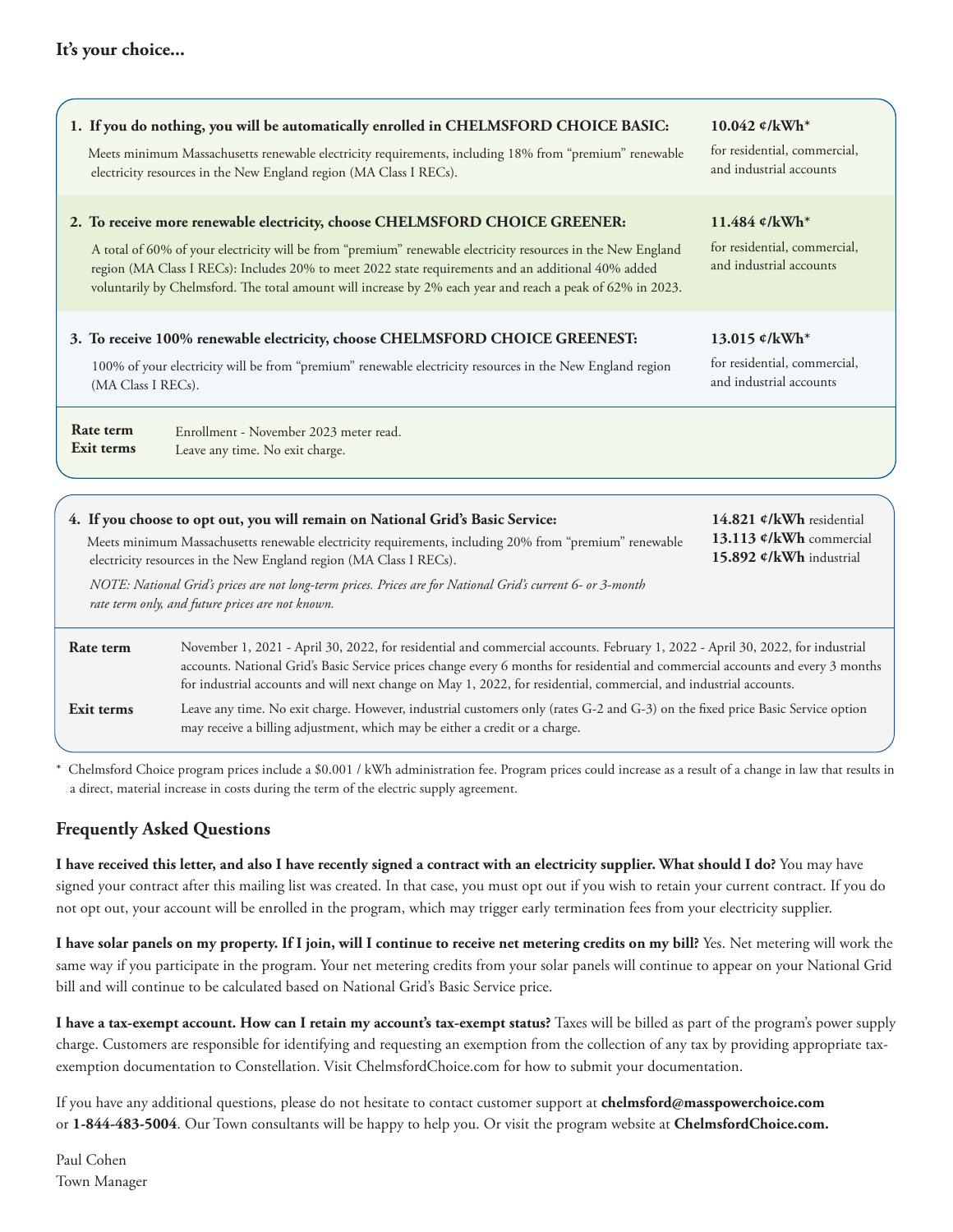| 1. If you do nothing, you will be automatically enrolled in CHELMSFORD CHOICE BASIC:                                                                                                                                                                                                                                                                                                                                              | 10.042 ¢/kWh*                                                                              |  |
|-----------------------------------------------------------------------------------------------------------------------------------------------------------------------------------------------------------------------------------------------------------------------------------------------------------------------------------------------------------------------------------------------------------------------------------|--------------------------------------------------------------------------------------------|--|
| Meets minimum Massachusetts renewable electricity requirements, including 18% from "premium" renewable<br>electricity resources in the New England region (MA Class I RECs).                                                                                                                                                                                                                                                      | for residential, commercial,<br>and industrial accounts                                    |  |
| 2. To receive more renewable electricity, choose CHELMSFORD CHOICE GREENER:<br>A total of 60% of your electricity will be from "premium" renewable electricity resources in the New England<br>region (MA Class I RECs): Includes 20% to meet 2022 state requirements and an additional 40% added<br>voluntarily by Chelmsford. The total amount will increase by 2% each year and reach a peak of 62% in 2023.                   | 11.484 $\ell$ /kWh <sup>*</sup><br>for residential, commercial,<br>and industrial accounts |  |
| 3. To receive 100% renewable electricity, choose CHELMSFORD CHOICE GREENEST:<br>100% of your electricity will be from "premium" renewable electricity resources in the New England region<br>(MA Class I RECs).                                                                                                                                                                                                                   | 13.015 $\ell$ /kWh <sup>*</sup><br>for residential, commercial,<br>and industrial accounts |  |
| Rate term<br>Enrollment - November 2023 meter read.<br>Exit terms<br>Leave any time. No exit charge.                                                                                                                                                                                                                                                                                                                              |                                                                                            |  |
|                                                                                                                                                                                                                                                                                                                                                                                                                                   |                                                                                            |  |
| 4. If you choose to opt out, you will remain on National Grid's Basic Service:<br>Meets minimum Massachusetts renewable electricity requirements, including 20% from "premium" renewable<br>electricity resources in the New England region (MA Class I RECs).<br>NOTE: National Grid's prices are not long-term prices. Prices are for National Grid's current 6- or 3-month<br>rate term only, and future prices are not known. | 14.821 ¢/kWh residential<br>13.113 ¢/kWh commercial<br>15.892 ¢/kWh industrial             |  |

| Rate term  | November 1, 2021 - April 30, 2022, for residential and commercial accounts. February 1, 2022 - April 30, 2022, for industrial<br>accounts. National Grid's Basic Service prices change every 6 months for residential and commercial accounts and every 3 months<br>for industrial accounts and will next change on May 1, 2022, for residential, commercial, and industrial accounts. |
|------------|----------------------------------------------------------------------------------------------------------------------------------------------------------------------------------------------------------------------------------------------------------------------------------------------------------------------------------------------------------------------------------------|
| Exit terms | Leave any time. No exit charge. However, industrial customers only (rates G-2 and G-3) on the fixed price Basic Service option<br>may receive a billing adjustment, which may be either a credit or a charge.                                                                                                                                                                          |

Chelmsford Choice program prices include a \$0.001 / kWh administration fee. Program prices could increase as a result of a change in law that results in a direct, material increase in costs during the term of the electric supply agreement.

#### **Frequently Asked Questions**

**I have received this letter, and also I have recently signed a contract with an electricity supplier. What should I do?** You may have signed your contract after this mailing list was created. In that case, you must opt out if you wish to retain your current contract. If you do not opt out, your account will be enrolled in the program, which may trigger early termination fees from your electricity supplier.

**I have solar panels on my property. If I join, will I continue to receive net metering credits on my bill?** Yes. Net metering will work the same way if you participate in the program. Your net metering credits from your solar panels will continue to appear on your National Grid bill and will continue to be calculated based on National Grid's Basic Service price.

**I have a tax-exempt account. How can I retain my account's tax-exempt status?** Taxes will be billed as part of the program's power supply charge. Customers are responsible for identifying and requesting an exemption from the collection of any tax by providing appropriate taxexemption documentation to Constellation. Visit ChelmsfordChoice.com for how to submit your documentation.

If you have any additional questions, please do not hesitate to contact customer support at **chelmsford@masspowerchoice.com**  or **1-844-483-5004**. Our Town consultants will be happy to help you. Or visit the program website at **ChelmsfordChoice.com.**

Paul Cohen Town Manager